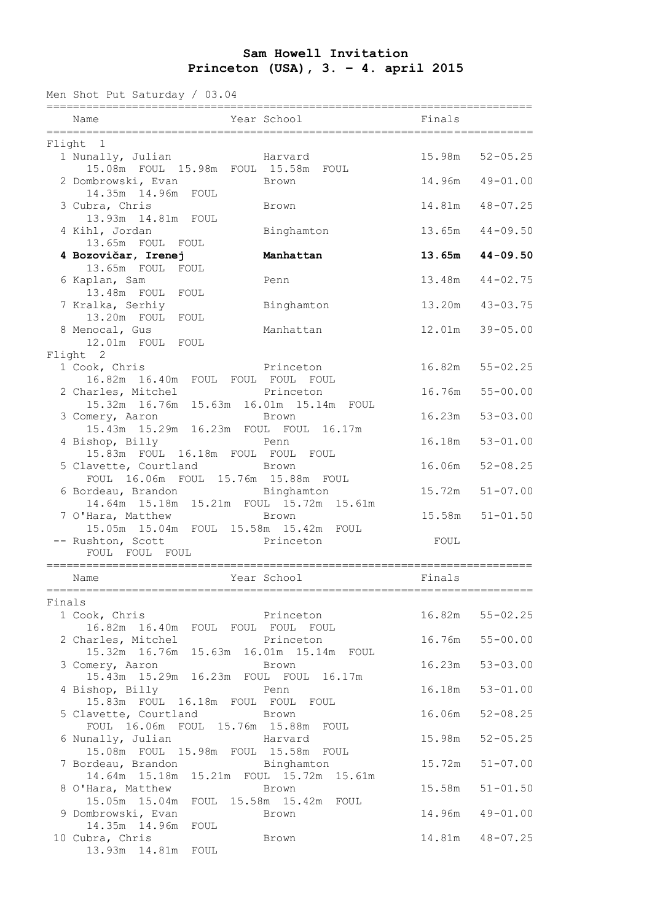## **Sam Howell Invitation Princeton (USA), 3. – 4. april 2015**

Men Shot Put Saturday / 03.04

|        | Name                                                                              | Year School<br>------------ | Finals |                     |
|--------|-----------------------------------------------------------------------------------|-----------------------------|--------|---------------------|
|        | Flight 1                                                                          |                             |        |                     |
|        | 1 Nunally, Julian<br>15.08m FOUL 15.98m FOUL 15.58m FOUL                          | Harvard                     | 15.98m | $52 - 05.25$        |
|        | 2 Dombrowski, Evan<br>14.35m  14.96m  FOUL                                        | Brown                       | 14.96m | $49 - 01.00$        |
|        | 3 Cubra, Chris<br>13.93m  14.81m  FOUL                                            | Brown                       | 14.81m | $48 - 07.25$        |
|        | 4 Kihl, Jordan<br>13.65m FOUL FOUL                                                | Binghamton                  | 13.65m | $44 - 09.50$        |
|        | 4 Bozovičar, Irenej<br>13.65m FOUL<br>FOUL                                        | Manhattan                   | 13.65m | $44 - 09.50$        |
|        | 6 Kaplan, Sam<br>13.48m FOUL FOUL                                                 | Penn                        | 13.48m | $44 - 02.75$        |
|        | 7 Kralka, Serhiy<br>13.20m FOUL FOUL                                              | Binghamton                  | 13.20m | $43 - 03.75$        |
|        | 8 Menocal, Gus<br>12.01m FOUL FOUL                                                | Manhattan                   | 12.01m | $39 - 05.00$        |
|        | Flight 2<br>1 Cook, Chris                                                         | Princeton                   | 16.82m | $55 - 02.25$        |
|        | 16.82m 16.40m FOUL FOUL FOUL FOUL<br>2 Charles, Mitchel                           | Princeton                   | 16.76m | $55 - 00.00$        |
|        | 15.32m 16.76m 15.63m 16.01m 15.14m FOUL<br>3 Comery, Aaron                        | Brown                       | 16.23m | $53 - 03.00$        |
|        | 15.43m  15.29m  16.23m  FOUL  FOUL  16.17m<br>4 Bishop, Billy                     | Penn                        | 16.18m | $53 - 01.00$        |
|        | 15.83m FOUL 16.18m FOUL FOUL FOUL<br>5 Clavette, Courtland                        | <b>Brown</b>                | 16.06m | $52 - 08.25$        |
|        | FOUL 16.06m FOUL 15.76m 15.88m FOUL<br>6 Bordeau, Brandon                         | Binghamton                  | 15.72m | $51 - 07.00$        |
|        | 14.64m 15.18m 15.21m FOUL 15.72m 15.61m<br>7 O'Hara, Matthew                      | Brown                       |        | $15.58m$ $51-01.50$ |
|        | 15.05m  15.04m  FOUL  15.58m  15.42m  FOUL<br>-- Rushton, Scott<br>FOUL FOUL FOUL | Princeton                   | FOUL   |                     |
|        | Name                                                                              | Year School                 | Finals |                     |
| Finals |                                                                                   |                             |        |                     |
|        | 1 Cook, Chris<br>16.82m 16.40m FOUL FOUL FOUL FOUL                                | Princeton                   |        | $16.82m$ $55-02.25$ |
|        | 2 Charles, Mitchel<br>15.32m 16.76m 15.63m 16.01m 15.14m FOUL                     | Princeton                   | 16.76m | $55 - 00.00$        |
|        | 3 Comery, Aaron<br>15.43m  15.29m  16.23m  FOUL  FOUL  16.17m                     | Brown                       | 16.23m | $53 - 03.00$        |
|        | 4 Bishop, Billy<br>15.83m FOUL 16.18m FOUL FOUL FOUL                              | Penn                        | 16.18m | $53 - 01.00$        |
|        | 5 Clavette, Courtland Brown<br>FOUL 16.06m FOUL 15.76m 15.88m FOUL                |                             | 16.06m | $52 - 08.25$        |
|        | 6 Nunally, Julian<br>15.08m FOUL 15.98m FOUL 15.58m FOUL                          | Harvard                     | 15.98m | $52 - 05.25$        |
|        | 7 Bordeau, Brandon<br>14.64m 15.18m 15.21m FOUL 15.72m 15.61m                     | Binghamton                  | 15.72m | $51 - 07.00$        |
|        | 8 O'Hara, Matthew<br>15.05m  15.04m  FOUL  15.58m  15.42m  FOUL                   | Brown                       | 15.58m | $51 - 01.50$        |
|        | 9 Dombrowski, Evan<br>14.35m 14.96m<br>FOUL                                       | Brown                       | 14.96m | $49 - 01.00$        |
|        | 10 Cubra, Chris<br>13.93m  14.81m  FOUL                                           | Brown                       |        | 14.81m  48-07.25    |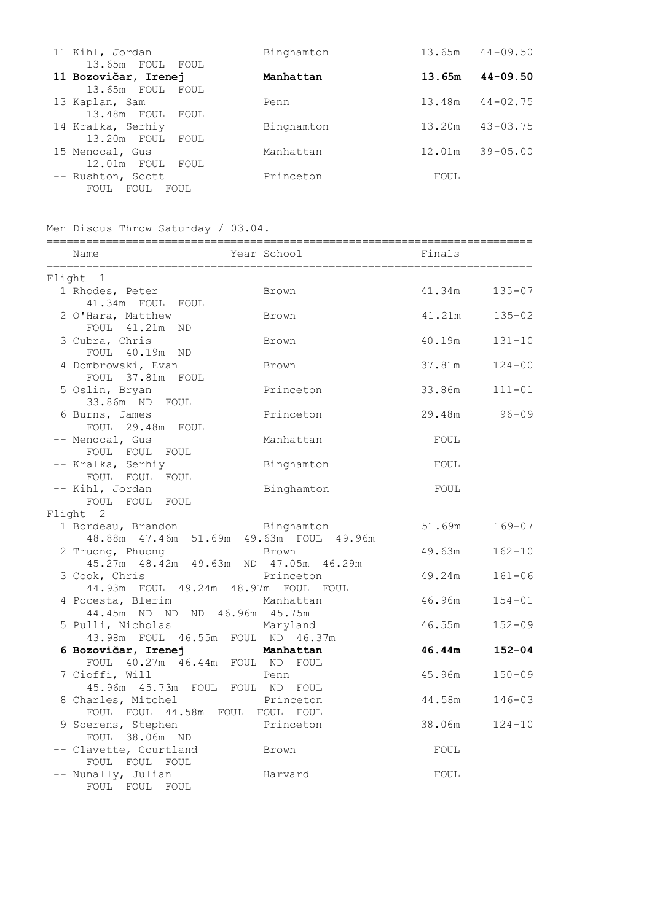| 11 Kihl, Jordan                          | Binghamton | 13.65m | $44 - 09.50$ |
|------------------------------------------|------------|--------|--------------|
| 13.65m FOUL FOUL<br>11 Bozovičar, Irenej | Manhattan  | 13.65m | $44 - 09.50$ |
| 13.65m FOUL FOUL                         |            |        |              |
| 13 Kaplan, Sam                           | Penn       | 13.48m | $44 - 02.75$ |
| 13.48m FOUL FOUL                         |            |        |              |
| 14 Kralka, Serhiy                        | Binghamton | 13.20m | $43 - 03.75$ |
| 13.20m FOUL<br>FOUL                      |            |        |              |
| 15 Menocal, Gus                          | Manhattan  | 12.01m | $39 - 05.00$ |
| $12.01m$ FOUL<br>FOUL                    |            |        |              |
| -- Rushton, Scott                        | Princeton  | FOUL   |              |
| FOUL<br>FOUL<br>FOUL                     |            |        |              |

|  |  |  | Men Discus Throw Saturday / 03.04. |  |  |
|--|--|--|------------------------------------|--|--|
|--|--|--|------------------------------------|--|--|

| Name                                                               | Year School | Finals |            |  |  |  |  |
|--------------------------------------------------------------------|-------------|--------|------------|--|--|--|--|
| Flight 1                                                           |             |        |            |  |  |  |  |
| 1 Rhodes, Peter<br>41.34m FOUL FOUL                                | Brown       | 41.34m | $135 - 07$ |  |  |  |  |
| 2 O'Hara, Matthew<br>FOUL 41.21m<br>ND.                            | Brown       | 41.21m | $135 - 02$ |  |  |  |  |
| 3 Cubra, Chris<br>FOUL 40.19m ND                                   | Brown       | 40.19m | $131 - 10$ |  |  |  |  |
| 4 Dombrowski, Evan<br>FOUL 37.81m FOUL                             | Brown       | 37.81m | $124 - 00$ |  |  |  |  |
| 5 Oslin, Bryan<br>33.86m ND FOUL                                   | Princeton   | 33.86m | $111 - 01$ |  |  |  |  |
| 6 Burns, James<br>FOUL 29.48m FOUL                                 | Princeton   | 29.48m | $96 - 09$  |  |  |  |  |
| -- Menocal, Gus<br>FOUL FOUL FOUL                                  | Manhattan   | FOUL   |            |  |  |  |  |
| -- Kralka, Serhiy<br>FOUL FOUL FOUL                                | Binghamton  | FOUL   |            |  |  |  |  |
| -- Kihl, Jordan<br>FOUL FOUL FOUL                                  | Binghamton  | FOUL   |            |  |  |  |  |
| Flight 2                                                           |             |        |            |  |  |  |  |
| 1 Bordeau, Brandon<br>48.88m  47.46m  51.69m  49.63m  FOUL  49.96m | Binghamton  | 51.69m | 169-07     |  |  |  |  |
| 2 Truong, Phuong<br>45.27m 48.42m 49.63m ND 47.05m 46.29m          | Brown       | 49.63m | $162 - 10$ |  |  |  |  |
| 3 Cook, Chris<br>44.93m FOUL 49.24m 48.97m FOUL FOUL               | Princeton   | 49.24m | $161 - 06$ |  |  |  |  |
| 4 Pocesta, Blerim<br>44.45m ND ND ND 46.96m 45.75m                 | Manhattan   | 46.96m | $154 - 01$ |  |  |  |  |
| 5 Pulli, Nicholas<br>43.98m FOUL 46.55m FOUL ND 46.37m             | Maryland    | 46.55m | $152 - 09$ |  |  |  |  |
| 6 Bozovičar, Irenej<br>FOUL 40.27m 46.44m FOUL ND FOUL             | Manhattan   | 46.44m | $152 - 04$ |  |  |  |  |
| 7 Cioffi, Will<br>45.96m 45.73m FOUL FOUL ND FOUL                  | Penn        | 45.96m | $150 - 09$ |  |  |  |  |
| 8 Charles, Mitchel<br>FOUL FOUL 44.58m FOUL FOUL FOUL              | Princeton   | 44.58m | $146 - 03$ |  |  |  |  |
| 9 Soerens, Stephen<br>FOUL 38.06m ND                               | Princeton   | 38.06m | $124 - 10$ |  |  |  |  |
| -- Clavette, Courtland<br>FOUL FOUL FOUL                           | Brown       | FOUL   |            |  |  |  |  |
| -- Nunally, Julian<br>FOUL FOUL FOUL                               | Harvard     | FOUL   |            |  |  |  |  |